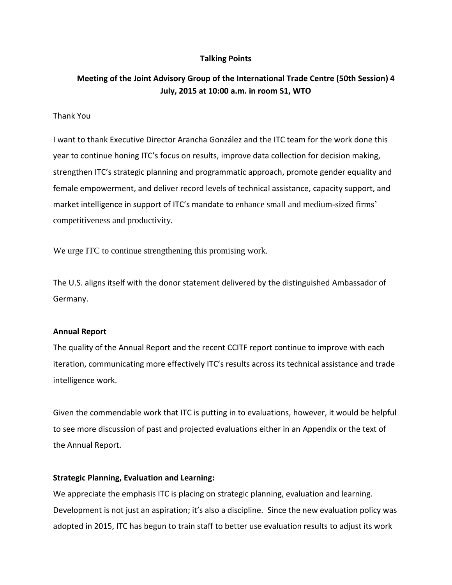## **Talking Points**

# **Meeting of the Joint Advisory Group of the International Trade Centre (50th Session) 4 July, 2015 at 10:00 a.m. in room S1, WTO**

### Thank You

I want to thank Executive Director Arancha González and the ITC team for the work done this year to continue honing ITC's focus on results, improve data collection for decision making, strengthen ITC's strategic planning and programmatic approach, promote gender equality and female empowerment, and deliver record levels of technical assistance, capacity support, and market intelligence in support of ITC's mandate to enhance small and medium-sized firms' competitiveness and productivity.

We urge ITC to continue strengthening this promising work.

The U.S. aligns itself with the donor statement delivered by the distinguished Ambassador of Germany.

#### **Annual Report**

The quality of the Annual Report and the recent CCITF report continue to improve with each iteration, communicating more effectively ITC's results across its technical assistance and trade intelligence work.

Given the commendable work that ITC is putting in to evaluations, however, it would be helpful to see more discussion of past and projected evaluations either in an Appendix or the text of the Annual Report.

#### **Strategic Planning, Evaluation and Learning:**

We appreciate the emphasis ITC is placing on strategic planning, evaluation and learning. Development is not just an aspiration; it's also a discipline. Since the new evaluation policy was adopted in 2015, ITC has begun to train staff to better use evaluation results to adjust its work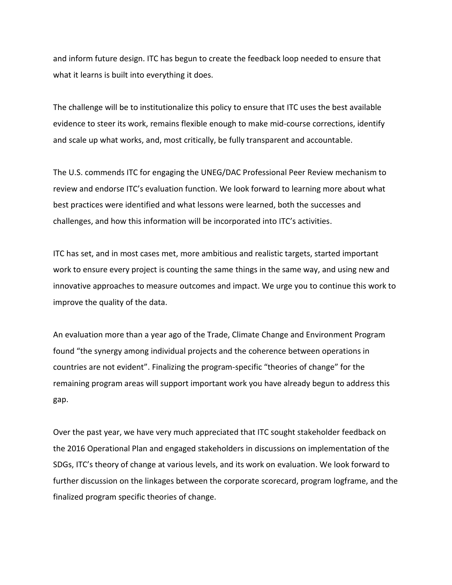and inform future design. ITC has begun to create the feedback loop needed to ensure that what it learns is built into everything it does.

The challenge will be to institutionalize this policy to ensure that ITC uses the best available evidence to steer its work, remains flexible enough to make mid-course corrections, identify and scale up what works, and, most critically, be fully transparent and accountable.

The U.S. commends ITC for engaging the UNEG/DAC Professional Peer Review mechanism to review and endorse ITC's evaluation function. We look forward to learning more about what best practices were identified and what lessons were learned, both the successes and challenges, and how this information will be incorporated into ITC's activities.

ITC has set, and in most cases met, more ambitious and realistic targets, started important work to ensure every project is counting the same things in the same way, and using new and innovative approaches to measure outcomes and impact. We urge you to continue this work to improve the quality of the data.

An evaluation more than a year ago of the Trade, Climate Change and Environment Program found "the synergy among individual projects and the coherence between operations in countries are not evident". Finalizing the program-specific "theories of change" for the remaining program areas will support important work you have already begun to address this gap.

Over the past year, we have very much appreciated that ITC sought stakeholder feedback on the 2016 Operational Plan and engaged stakeholders in discussions on implementation of the SDGs, ITC's theory of change at various levels, and its work on evaluation. We look forward to further discussion on the linkages between the corporate scorecard, program logframe, and the finalized program specific theories of change.